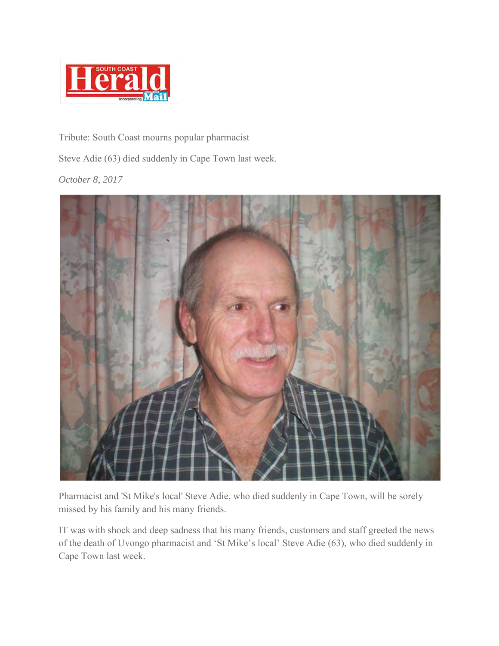

Tribute: South Coast mourns popular pharmacist

Steve Adie (63) died suddenly in Cape Town last week.

*October 8, 2017* 



Pharmacist and 'St Mike's local' Steve Adie, who died suddenly in Cape Town, will be sorely missed by his family and his many friends.

IT was with shock and deep sadness that his many friends, customers and staff greeted the news of the death of Uvongo pharmacist and 'St Mike's local' Steve Adie (63), who died suddenly in Cape Town last week.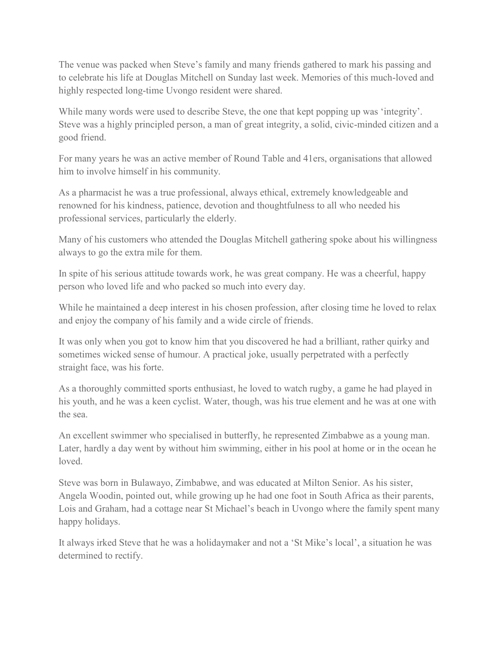The venue was packed when Steve's family and many friends gathered to mark his passing and to celebrate his life at Douglas Mitchell on Sunday last week. Memories of this much-loved and highly respected long-time Uvongo resident were shared.

While many words were used to describe Steve, the one that kept popping up was 'integrity'. Steve was a highly principled person, a man of great integrity, a solid, civic-minded citizen and a good friend.

For many years he was an active member of Round Table and 41ers, organisations that allowed him to involve himself in his community.

As a pharmacist he was a true professional, always ethical, extremely knowledgeable and renowned for his kindness, patience, devotion and thoughtfulness to all who needed his professional services, particularly the elderly.

Many of his customers who attended the Douglas Mitchell gathering spoke about his willingness always to go the extra mile for them.

In spite of his serious attitude towards work, he was great company. He was a cheerful, happy person who loved life and who packed so much into every day.

While he maintained a deep interest in his chosen profession, after closing time he loved to relax and enjoy the company of his family and a wide circle of friends.

It was only when you got to know him that you discovered he had a brilliant, rather quirky and sometimes wicked sense of humour. A practical joke, usually perpetrated with a perfectly straight face, was his forte.

As a thoroughly committed sports enthusiast, he loved to watch rugby, a game he had played in his youth, and he was a keen cyclist. Water, though, was his true element and he was at one with the sea.

An excellent swimmer who specialised in butterfly, he represented Zimbabwe as a young man. Later, hardly a day went by without him swimming, either in his pool at home or in the ocean he loved.

Steve was born in Bulawayo, Zimbabwe, and was educated at Milton Senior. As his sister, Angela Woodin, pointed out, while growing up he had one foot in South Africa as their parents, Lois and Graham, had a cottage near St Michael's beach in Uvongo where the family spent many happy holidays.

It always irked Steve that he was a holidaymaker and not a 'St Mike's local', a situation he was determined to rectify.